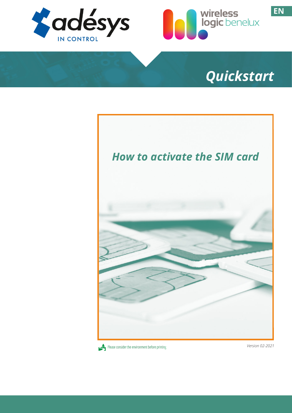



# *Quickstart*





*Version 02-2021*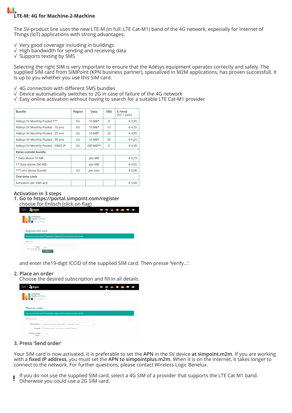# **LTE-M: 4G for Machine-2-Machine**

The SV-product line uses the new LTE-M (in full: LTE Cat-M1) band of the 4G network, especially for Internet of Things (IoT) applications with strong advantages:

- √ Very good coverage including in buildings
- √ High bandwidth for sending and receiving data
- √ Supports texting by SMS

Selecting the right SIM is very important to ensure that the Adésys equipment operates correctly and safely. The supplied SIM card from SIMPoint (KPN business partner), specialized in M2M applications, has proven successfull. It is up to you whether you use this SIM card.

- √ 4G connection with different SMS bundles
- √ Device automatically switches to 2G in case of failure of the 4G network
- √ Easy online activation without having to search for a suitable LTE Cat-M1 provider

| <b>Bundle</b>                       | Region | Data                 | <b>SMS</b> | $\epsilon$ /mnd<br>(for 1 year) |  |  |  |  |
|-------------------------------------|--------|----------------------|------------|---------------------------------|--|--|--|--|
| Adésys SV Monthly Pooled ***        | EU     | $10$ MB <sup>*</sup> | $\Omega$   | € 3,95                          |  |  |  |  |
| Adésys SV Monthly Pooled - 10 sms   | EU     | $10$ MB <sup>*</sup> | 10         | €4,35                           |  |  |  |  |
| Adésys SV Monthly Pooled - 25 sms   | EU     | $10$ MB*             | 25         | €4,85                           |  |  |  |  |
| Adésys SV Monthly Pooled - 50 sms   | EU     | $10$ MB*             | 50         | € 5,25                          |  |  |  |  |
| Adésys SV Monthly Pooled - FIXED IP | EU     | $200$ MB**           | $\Omega$   | €9.95                           |  |  |  |  |
| Rates outside bundle                |        |                      |            |                                 |  |  |  |  |
| * Data above 10 MB                  |        | per MB               |            | € 0,19                          |  |  |  |  |
| ** Data above 200 MB                |        | per MB               |            | € 0,05                          |  |  |  |  |
| *** sms above bundle                | EU     | per sms              |            | € 0,08                          |  |  |  |  |
| One-time costs                      |        |                      |            |                                 |  |  |  |  |
| Activation per SIM card             |        |                      |            | € 5,00                          |  |  |  |  |

#### **Activation in 3 steps**

**1. Go to https://portal.simpoint.com/register** choose for Enlisch (click on flag)

| business<br>kpn<br>partner                                                              | <u>.</u><br>账<br>l<br>. . |
|-----------------------------------------------------------------------------------------|---------------------------|
| wireless<br>logic benelux<br>Formerly SIMPoint                                          |                           |
| <b>Register SIM card</b>                                                                |                           |
| Are you a current client? Please log in here with your personal login details.          |                           |
| SIM card                                                                                |                           |
| ICCID <sup>*</sup><br>89103<br>Enter the 19-digit ICCID<br>for your SIM card.<br>Verify |                           |

and enter the19-digit ICCID of the supplied SIM card. Then presse 'Verify...'.

## **2. Place an order**

Choose the desired subscription and fill in all details.

| business<br>kpn<br>partner                     |                                                                                |  |  |  |
|------------------------------------------------|--------------------------------------------------------------------------------|--|--|--|
| wireless<br>logic benelux<br>Formerly SIMPoint |                                                                                |  |  |  |
| Place an order                                 |                                                                                |  |  |  |
|                                                | Are you a current client? Please log in here with your personal login details. |  |  |  |
| SIM card info                                  |                                                                                |  |  |  |
| Subscription *                                 | Adesys SV Monthly Pooled 10MB - 12 maanden - 3,95 €<br>$\checkmark$            |  |  |  |
| <b>Fixed IP</b>                                | Please contact me to discuss fixed IP options.                                 |  |  |  |
| Number of SIM<br>cards <sup>1</sup>            | $\ddot{}$                                                                      |  |  |  |

## **3. Press 'Send order'**

Your SIM card is now activated. It is preferable to set the **APN** in the SV device **at simpoint.m2m**. If you are working with a **fixed IP address**, you must set the **APN to simpointplus.m2m**. When it is on the internet, it takes longer to connect to the network. For further questions, please contact Wireless Logic Benelux.

- If you do not use the supplied SIM card, select a 4G SIM of a provider that supports the LTE Cat M1 band. ļ
- Otherwise you could use a 2G SIM card.